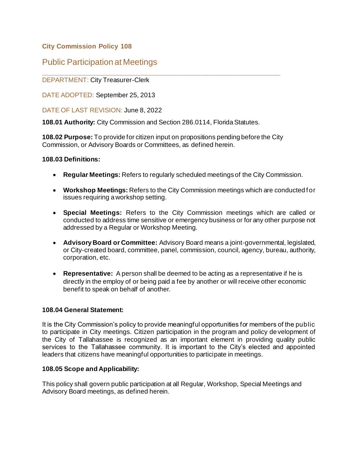### **City Commission Policy 108**

# Public Participation at Meetings

# **\_\_\_\_\_\_\_\_\_\_\_\_\_\_\_\_\_\_\_\_\_\_\_\_\_\_\_\_\_\_\_\_\_\_\_\_\_\_\_\_\_\_\_\_\_\_\_\_\_\_\_\_** DEPARTMENT: City Treasurer-Clerk

DATE ADOPTED: September 25, 2013

DATE OF LAST REVISION: June 8, 2022

**108.01 Authority:** City Commission and Section 286.0114, Florida Statutes.

**108.02 Purpose:** To provide for citizen input on propositions pending before the City Commission, or Advisory Boards or Committees, as defined herein.

#### **108.03 Definitions:**

- **Regular Meetings:** Refers to regularly scheduled meetings of the City Commission.
- **Workshop Meetings:** Refers to the City Commission meetings which are conducted f or issues requiring a workshop setting.
- **Special Meetings:** Refers to the City Commission meetings which are called or conducted to address time sensitive or emergency business or for any other purpose not addressed by a Regular or Workshop Meeting.
- **Advisory Board or Committee:** Advisory Board means a joint-governmental, legislated, or City-created board, committee, panel, commission, council, agency, bureau, authority, corporation, etc.
- **Representative:** A person shall be deemed to be acting as a representative if he is directly in the employ of or being paid a fee by another or will receive other economic benefit to speak on behalf of another.

#### **108.04 General Statement:**

It is the City Commission's policy to provide meaningful opportunities for members of the public to participate in City meetings. Citizen participation in the program and policy development of the City of Tallahassee is recognized as an important element in providing quality public services to the Tallahassee community. It is important to the City's elected and appointed leaders that citizens have meaningful opportunities to participate in meetings.

#### **108.05 Scope and Applicability:**

This policy shall govern public participation at all Regular, Workshop, Special Meetings and Advisory Board meetings, as defined herein.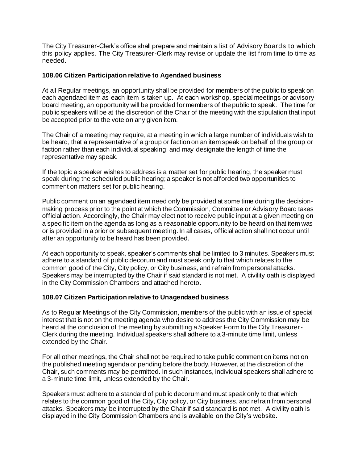The City Treasurer-Clerk's office shall prepare and maintain a list of Advisory Boards to which this policy applies. The City Treasurer-Clerk may revise or update the list from time to time as needed.

#### **108.06 Citizen Participation relative to Agendaed business**

At all Regular meetings, an opportunity shall be provided for members of the public to speak on each agendaed item as each item is taken up. At each workshop, special meetings or advisory board meeting, an opportunity will be provided for members of the public to speak. The time for public speakers will be at the discretion of the Chair of the meeting with the stipulation that input be accepted prior to the vote on any given item.

The Chair of a meeting may require, at a meeting in which a large number of individuals wish to be heard, that a representative of a group or faction on an item speak on behalf of the group or faction rather than each individual speaking; and may designate the length of time the representative may speak.

If the topic a speaker wishes to address is a matter set for public hearing, the speaker must speak during the scheduled public hearing; a speaker is not afforded two opportunities to comment on matters set for public hearing.

Public comment on an agendaed item need only be provided at some time during the decisionmaking process prior to the point at which the Commission, Committee or Advisory Board takes official action. Accordingly, the Chair may elect not to receive public input at a given meeting on a specific item on the agenda as long as a reasonable opportunity to be heard on that item was or is provided in a prior or subsequent meeting. In all cases, official action shall not occur until after an opportunity to be heard has been provided.

At each opportunity to speak, speaker's comments shall be limited to 3 minutes. Speakers must adhere to a standard of public decorum and must speak only to that which relates to the common good of the City, City policy, or City business, and refrain from personal attacks. Speakers may be interrupted by the Chair if said standard is not met. A civility oath is displayed in the City Commission Chambers and attached hereto.

#### **108.07 Citizen Participation relative to Unagendaed business**

As to Regular Meetings of the City Commission, members of the public with an issue of special interest that is not on the meeting agenda who desire to address the City Commission may be heard at the conclusion of the meeting by submitting a Speaker Form to the City Treasurer-Clerk during the meeting. Individual speakers shall adhere to a 3-minute time limit, unless extended by the Chair.

For all other meetings, the Chair shall not be required to take public comment on items not on the published meeting agenda or pending before the body. However, at the discretion of the Chair, such comments may be permitted. In such instances, individual speakers shall adhere to a 3-minute time limit, unless extended by the Chair.

Speakers must adhere to a standard of public decorum and must speak only to that which relates to the common good of the City, City policy, or City business, and refrain from personal attacks. Speakers may be interrupted by the Chair if said standard is not met. A civility oath is displayed in the City Commission Chambers and is available on the City's website.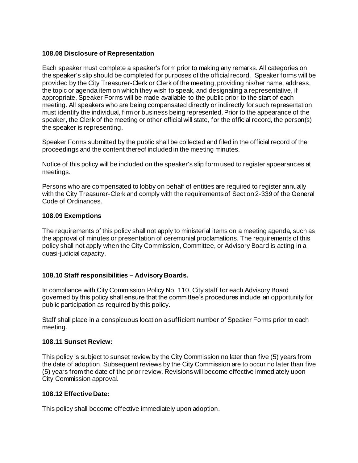#### **108.08 Disclosure of Representation**

Each speaker must complete a speaker's form prior to making any remarks. All categories on the speaker's slip should be completed for purposes of the official record. Speaker forms will be provided by the City Treasurer-Clerk or Clerk of the meeting, providing his/her name, address, the topic or agenda item on which they wish to speak, and designating a representative, if appropriate. Speaker Forms will be made available to the public prior to the start of each meeting. All speakers who are being compensated directly or indirectly for such representation must identify the individual, firm or business being represented. Prior to the appearance of the speaker, the Clerk of the meeting or other official will state, for the official record, the person(s) the speaker is representing.

Speaker Forms submitted by the public shall be collected and filed in the official record of the proceedings and the content thereof included in the meeting minutes.

Notice of this policy will be included on the speaker's slip form used to register appearances at meetings.

Persons who are compensated to lobby on behalf of entities are required to register annually with the City Treasurer-Clerk and comply with the requirements of Section 2-339 of the General Code of Ordinances.

#### **108.09 Exemptions**

The requirements of this policy shall not apply to ministerial items on a meeting agenda, such as the approval of minutes or presentation of ceremonial proclamations. The requirements of this policy shall not apply when the City Commission, Committee, or Advisory Board is acting in a quasi-judicial capacity.

#### **108.10 Staff responsibilities – Advisory Boards.**

In compliance with City Commission Policy No. 110, City staff for each Advisory Board governed by this policy shall ensure that the committee's procedures include an opportunity for public participation as required by this policy.

Staff shall place in a conspicuous location a sufficient number of Speaker Forms prior to each meeting.

#### **108.11 Sunset Review:**

This policy is subject to sunset review by the City Commission no later than five (5) years from the date of adoption. Subsequent reviews by the City Commission are to occur no later than five (5) years from the date of the prior review. Revisions will become effective immediately upon City Commission approval.

#### **108.12 Effective Date:**

This policy shall become effective immediately upon adoption.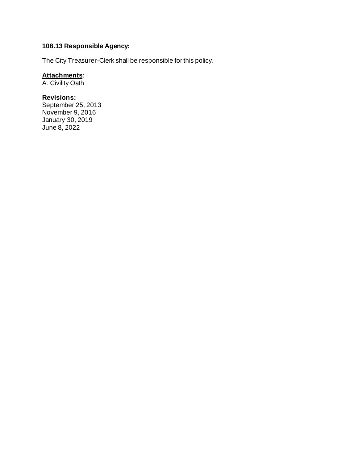# **108.13 Responsible Agency:**

The City Treasurer-Clerk shall be responsible for this policy.

#### **Attachments**:

A. Civility Oath

# **Revisions:**

September 25, 2013 November 9, 2016 January 30, 2019 June 8, 2022